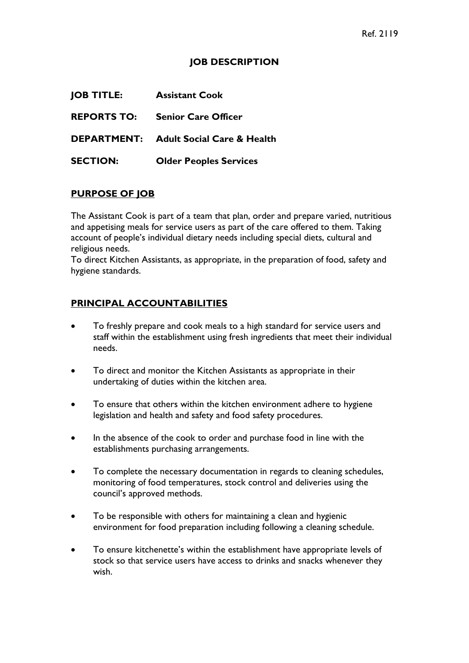## **JOB DESCRIPTION**

| <b>JOB TITLE:</b>  | <b>Assistant Cook</b>                         |
|--------------------|-----------------------------------------------|
| <b>REPORTS TO:</b> | <b>Senior Care Officer</b>                    |
|                    | <b>DEPARTMENT:</b> Adult Social Care & Health |
| <b>SECTION:</b>    | <b>Older Peoples Services</b>                 |

## **PURPOSE OF JOB**

The Assistant Cook is part of a team that plan, order and prepare varied, nutritious and appetising meals for service users as part of the care offered to them. Taking account of people's individual dietary needs including special diets, cultural and religious needs.

To direct Kitchen Assistants, as appropriate, in the preparation of food, safety and hygiene standards.

## **PRINCIPAL ACCOUNTABILITIES**

- To freshly prepare and cook meals to a high standard for service users and staff within the establishment using fresh ingredients that meet their individual needs.
- To direct and monitor the Kitchen Assistants as appropriate in their undertaking of duties within the kitchen area.
- To ensure that others within the kitchen environment adhere to hygiene legislation and health and safety and food safety procedures.
- In the absence of the cook to order and purchase food in line with the establishments purchasing arrangements.
- To complete the necessary documentation in regards to cleaning schedules, monitoring of food temperatures, stock control and deliveries using the council's approved methods.
- To be responsible with others for maintaining a clean and hygienic environment for food preparation including following a cleaning schedule.
- To ensure kitchenette's within the establishment have appropriate levels of stock so that service users have access to drinks and snacks whenever they wish.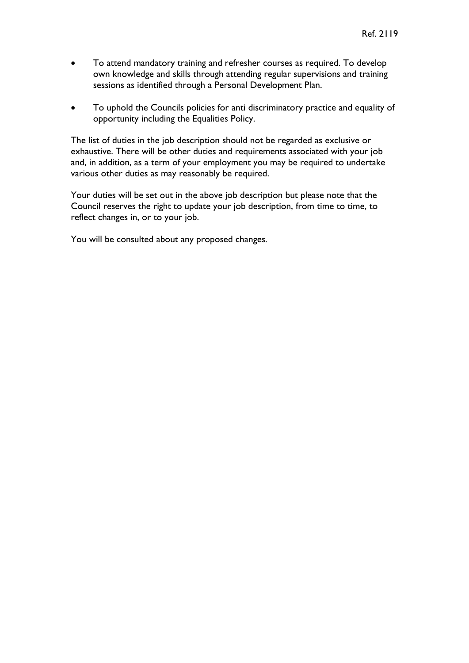- To attend mandatory training and refresher courses as required. To develop own knowledge and skills through attending regular supervisions and training sessions as identified through a Personal Development Plan.
- To uphold the Councils policies for anti discriminatory practice and equality of opportunity including the Equalities Policy.

The list of duties in the job description should not be regarded as exclusive or exhaustive. There will be other duties and requirements associated with your job and, in addition, as a term of your employment you may be required to undertake various other duties as may reasonably be required.

Your duties will be set out in the above job description but please note that the Council reserves the right to update your job description, from time to time, to reflect changes in, or to your job.

You will be consulted about any proposed changes.